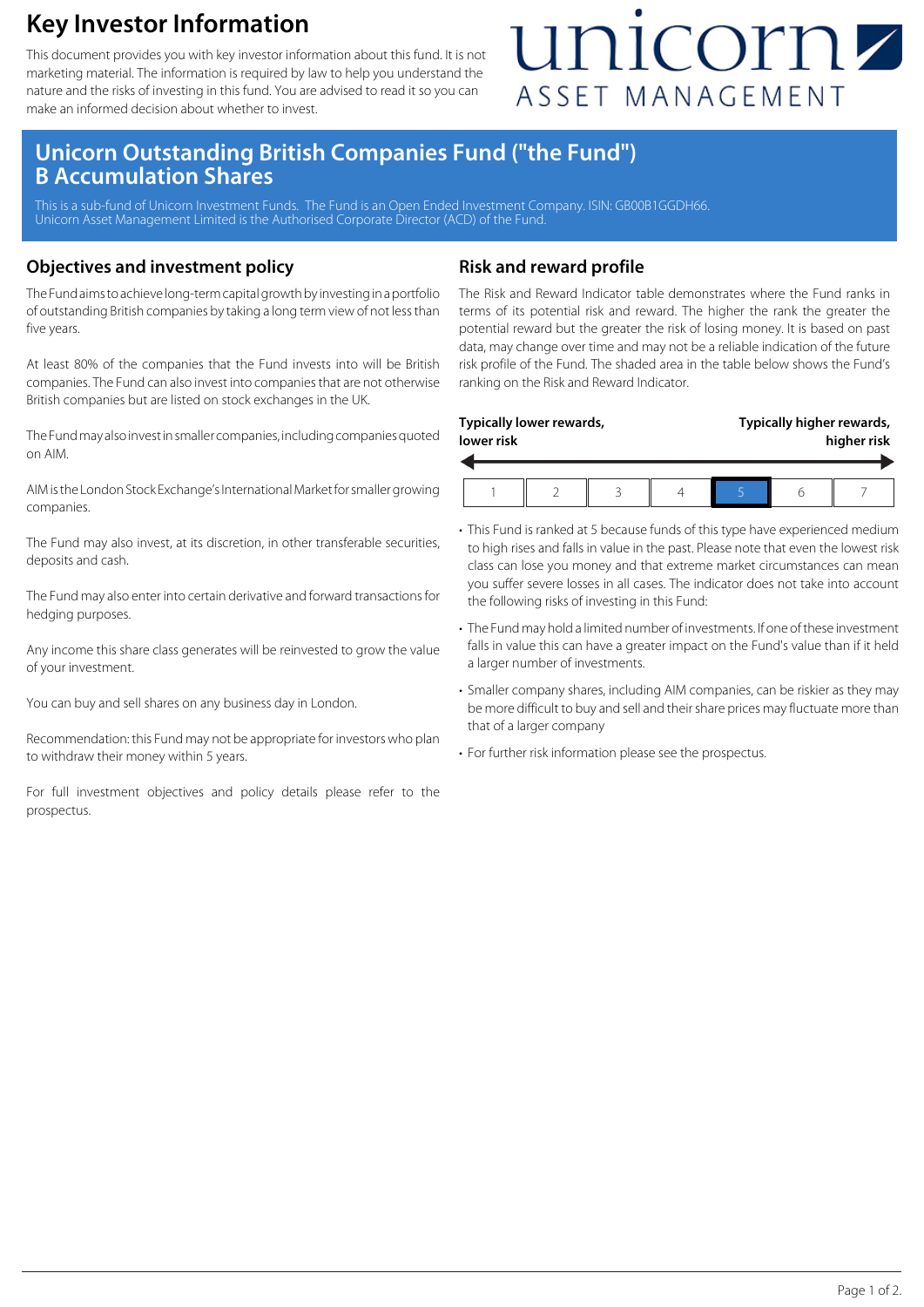### **Key Investor Information**

This document provides you with key investor information about this fund. It is not marketing material. The information is required by law to help you understand the nature and the risks of investing in this fund. You are advised to read it so you can make an informed decision about whether to invest.

## unicornz ASSET MANAGEMENT

### **Unicorn Outstanding British Companies Fund ("the Fund") B Accumulation Shares**

This is a sub-fund of Unicorn Investment Funds. The Fund is an Open Ended Investment Company. ISIN: GB00B1GGDH66. Unicorn Asset Management Limited is the Authorised Corporate Director (ACD) of the Fund.

#### **Objectives and investment policy**

The Fund aims to achieve long-term capital growth by investing in a portfolio of outstanding British companies by taking a long term view of not less than five years.

At least 80% of the companies that the Fund invests into will be British companies. The Fund can also invest into companies that are not otherwise British companies but are listed on stock exchanges in the UK.

The Fund may also invest in smaller companies, including companies quoted on AIM.

AIM is the London Stock Exchange's International Market for smaller growing companies.

The Fund may also invest, at its discretion, in other transferable securities, deposits and cash.

The Fund may also enter into certain derivative and forward transactions for hedging purposes.

Any income this share class generates will be reinvested to grow the value of your investment.

You can buy and sell shares on any business day in London.

Recommendation: this Fund may not be appropriate for investors who plan to withdraw their money within 5 years.

For full investment objectives and policy details please refer to the prospectus.

#### **Risk and reward profile**

The Risk and Reward Indicator table demonstrates where the Fund ranks in terms of its potential risk and reward. The higher the rank the greater the potential reward but the greater the risk of losing money. It is based on past data, may change over time and may not be a reliable indication of the future risk profile of the Fund. The shaded area in the table below shows the Fund's ranking on the Risk and Reward Indicator.

| lower risk | Typically lower rewards, |  | Typically higher rewards,<br>higher risk |  |  |
|------------|--------------------------|--|------------------------------------------|--|--|
|            |                          |  |                                          |  |  |

- This Fund is ranked at 5 because funds of this type have experienced medium to high rises and falls in value in the past. Please note that even the lowest risk class can lose you money and that extreme market circumstances can mean you suffer severe losses in all cases. The indicator does not take into account the following risks of investing in this Fund:
- The Fund may hold a limited number of investments. If one of these investment falls in value this can have a greater impact on the Fund's value than if it held a larger number of investments.
- Smaller company shares, including AIM companies, can be riskier as they may be more difficult to buy and sell and their share prices may fluctuate more than that of a larger company
- For further risk information please see the prospectus.